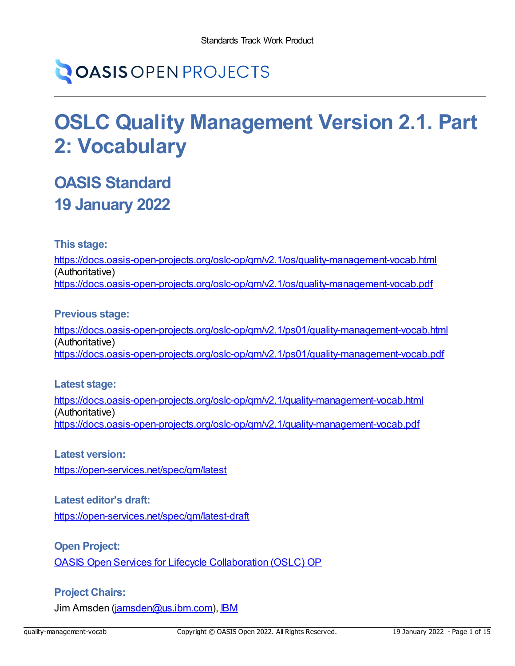# **OASIS OPEN PROJECTS**

# **OSLC Quality Management Version 2.1. Part 2: Vocabulary**

## **OASIS Standard 19 January 2022**

**This stage:**

<https://docs.oasis-open-projects.org/oslc-op/qm/v2.1/os/quality-management-vocab.html> (Authoritative) <https://docs.oasis-open-projects.org/oslc-op/qm/v2.1/os/quality-management-vocab.pdf>

## **Previous stage:**

<https://docs.oasis-open-projects.org/oslc-op/qm/v2.1/ps01/quality-management-vocab.html> (Authoritative) <https://docs.oasis-open-projects.org/oslc-op/qm/v2.1/ps01/quality-management-vocab.pdf>

## **Latest stage:**

<https://docs.oasis-open-projects.org/oslc-op/qm/v2.1/quality-management-vocab.html> (Authoritative) <https://docs.oasis-open-projects.org/oslc-op/qm/v2.1/quality-management-vocab.pdf>

## **Latest version:**

<https://open-services.net/spec/qm/latest>

## **Latest editor's draft:**

<https://open-services.net/spec/qm/latest-draft>

## **Open Project:**

OASIS Open Services for Lifecycle [Collaboration](https://open-services.net/about/) (OSLC) OP

## **Project Chairs:**

Jim Amsden [\(jamsden@us.ibm.com\)](mailto:jamsden@us.ibm.com), [IBM](http://www.ibm.com/)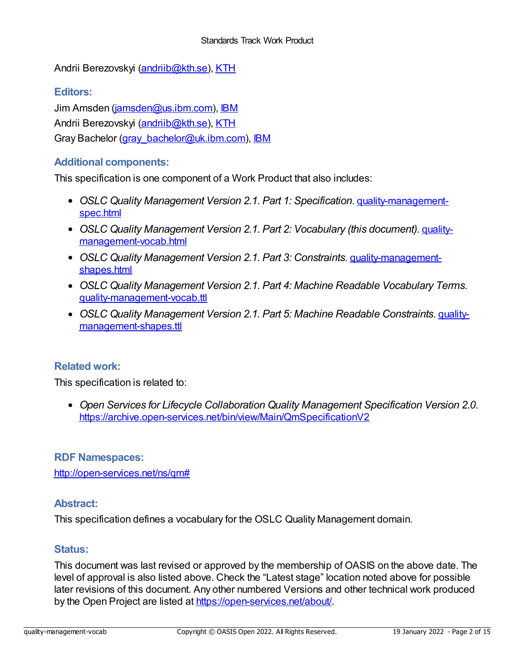Andrii Berezovskyi [\(andriib@kth.se\)](mailto:andriib@kth.se), [KTH](https://www.kth.se/en)

## **Editors:**

Jim Amsden [\(jamsden@us.ibm.com\)](mailto:jamsden@us.ibm.com), [IBM](http://www.ibm.com) Andrii Berezovskyi [\(andriib@kth.se\)](mailto:andriib@kth.se), [KTH](https://www.kth.se/en) Gray Bachelor ([gray\\_bachelor@uk.ibm.com\)](mailto:gray_bachelor@uk.ibm.com), [IBM](http://www.ibm.com)

## **Additional components:**

This specification is one component of a Work Product that also includes:

- *OSLC Quality Management Version 2.1. Part 1: Specification*. [quality-management](https://docs.oasis-open-projects.org/oslc-op/qm/v2.1/os/quality-management-spec.html)spec.html
- *OSLC Quality Management Version 2.1. Part 2: Vocabulary (this document)*. quality[management-vocab.html](https://docs.oasis-open-projects.org/oslc-op/qm/v2.1/os/quality-management-vocab.html)
- *OSLC Quality Management Version 2.1. Part 3: Constraints*. [quality-management](https://docs.oasis-open-projects.org/oslc-op/qm/v2.1/os/quality-management-shapes.html)shapes.html
- *OSLC Quality Management Version 2.1. Part 4: Machine Readable Vocabulary Terms*. [quality-management-vocab.ttl](https://docs.oasis-open-projects.org/oslc-op/qm/v2.1/os/quality-management-vocab.ttl)
- *OSLC Quality Management Version 2.1. Part 5: Machine Readable Constraints*. quality[management-shapes.ttl](https://docs.oasis-open-projects.org/oslc-op/qm/v2.1/os/quality-management-shapes.ttl)

## **Related work:**

This specification is related to:

*Open Services for Lifecycle Collaboration Quality Management Specification Version 2.0*. <https://archive.open-services.net/bin/view/Main/QmSpecificationV2>

## **RDF Namespaces:**

<http://open-services.net/ns/qm#>

## **Abstract:**

This specification defines a vocabulary for the OSLC Quality Management domain.

## **Status:**

This document was last revised or approved by the membership of OASIS on the above date. The level of approval is also listed above. Check the "Latest stage" location noted above for possible later revisions of this document. Any other numbered Versions and other technical work produced by the Open Project are listed at <https://open-services.net/about/>.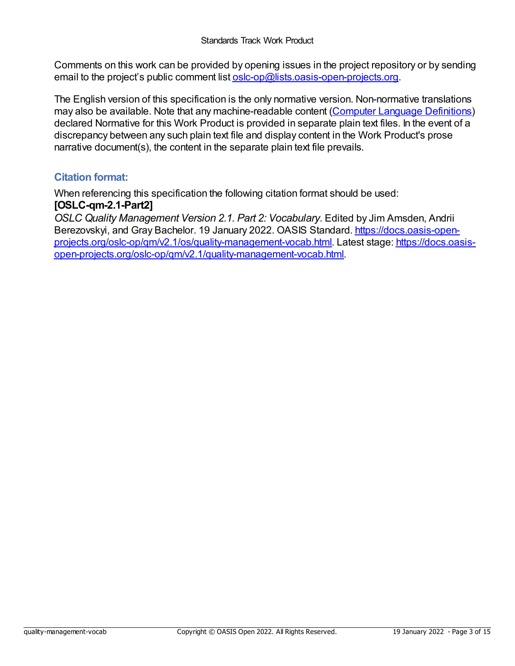Comments on this work can be provided by opening issues in the project repository or by sending email to the project's public comment list [oslc-op@lists.oasis-open-projects.org](mailto:oslc-op@lists.oasis-open-projects.org).

The English version of this specification is the only normative version. Non-normative translations may also be available. Note that any machine-readable content (Computer Language [Definitions](https://www.oasis-open.org/policies-guidelines/tc-process#wpComponentsCompLang)) declared Normative for this Work Product is provided in separate plain text files. In the event of a discrepancy between any such plain text file and display content in the Work Product's prose narrative document(s), the content in the separate plain text file prevails.

## **Citation format:**

When referencing this specification the following citation format should be used: **[OSLC-qm-2.1-Part2]**

*OSLC Quality Management Version 2.1. Part 2: Vocabulary*. Edited by Jim Amsden, Andrii Berezovskyi, and Gray Bachelor. 19 January 2022. OASIS Standard. https://docs.oasis-open[projects.org/oslc-op/qm/v2.1/os/quality-management-vocab.html.](https://docs.oasis-open-projects.org/oslc-op/qm/v2.1/quality-management-vocab.html) Latest stage: https://docs.oasisopen-projects.org/oslc-op/qm/v2.1/quality-management-vocab.html.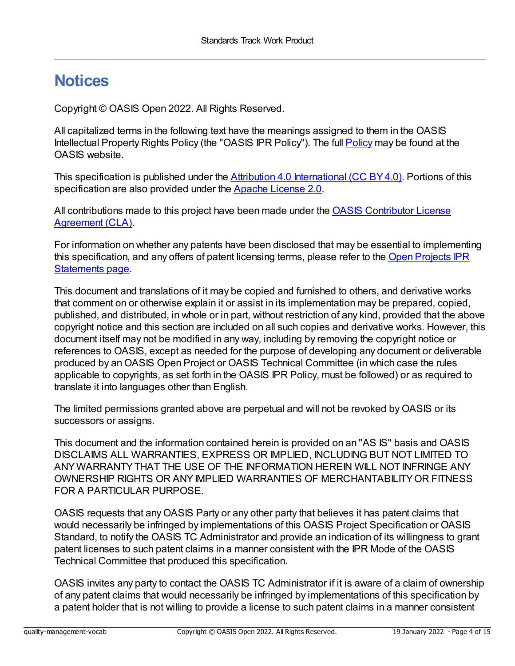## **Notices**

Copyright © OASIS Open 2022. All Rights Reserved.

All capitalized terms in the following text have the meanings assigned to them in the OASIS Intellectual Property Rights [Policy](https://www.oasis-open.org/policies-guidelines/ipr/) (the "OASIS IPR Policy"). The full **Policy** may be found at the OASIS website.

This specification is published under the Attribution 4.0 [International](https://creativecommons.org/licenses/by/4.0/legalcode) (CC BY 4.0). Portions of this specification are also provided under the Apache [License](https://www.apache.org/licenses/LICENSE-2.0) 2.0.

All [contributions](https://www.oasis-open.org/policies-guidelines/open-projects-process#individual-cla-exhibit) made to this project have been made under the **OASIS Contributor License** Agreement (CLA).

For information on whether any patents have been disclosed that may be essential to implementing this [specification,](https://github.com/oasis-open-projects/administration/blob/master/IPR_STATEMENTS.md#open-services-for-lifecycle-collaboration-oslc-open-project) and any offers of patent licensing terms, please refer to the Open Projects IPR Statements page.

This document and translations of it may be copied and furnished to others, and derivative works that comment on or otherwise explain it or assist in its implementation may be prepared, copied, published, and distributed, in whole or in part, without restriction of any kind, provided that the above copyright notice and this section are included on all such copies and derivative works. However, this document itself may not be modified in any way, including by removing the copyright notice or references to OASIS, except as needed for the purpose of developing any document or deliverable produced by an OASIS Open Project or OASIS Technical Committee (in which case the rules applicable to copyrights, as set forth in the OASIS IPR Policy, must be followed) or as required to translate it into languages other than English.

The limited permissions granted above are perpetual and will not be revoked by OASIS or its successors or assigns.

This document and the information contained herein is provided on an "AS IS" basis and OASIS DISCLAIMS ALL WARRANTIES, EXPRESS OR IMPLIED, INCLUDING BUT NOT LIMITED TO ANYWARRANTYTHAT THE USE OF THE INFORMATION HEREIN WILL NOT INFRINGE ANY OWNERSHIP RIGHTS OR ANYIMPLIED WARRANTIES OF MERCHANTABILITYOR FITNESS FOR A PARTICULAR PURPOSE.

OASIS requests that anyOASIS Party or any other party that believes it has patent claims that would necessarily be infringed by implementations of this OASIS Project Specification or OASIS Standard, to notify the OASIS TC Administrator and provide an indication of its willingness to grant patent licenses to such patent claims in a manner consistent with the IPR Mode of the OASIS Technical Committee that produced this specification.

OASIS invites any party to contact the OASIS TC Administrator if it is aware of a claim of ownership of any patent claims that would necessarily be infringed by implementations of this specification by a patent holder that is not willing to provide a license to such patent claims in a manner consistent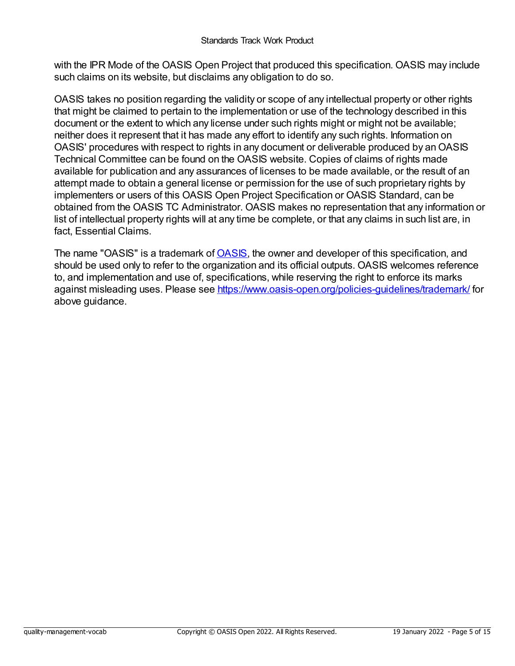with the IPR Mode of the OASIS Open Project that produced this specification. OASIS may include such claims on its website, but disclaims any obligation to do so.

OASIS takes no position regarding the validity or scope of any intellectual property or other rights that might be claimed to pertain to the implementation or use of the technology described in this document or the extent to which any license under such rights might or might not be available; neither does it represent that it has made any effort to identify any such rights. Information on OASIS' procedures with respect to rights in any document or deliverable produced by an OASIS Technical Committee can be found on the OASIS website. Copies of claims of rights made available for publication and any assurances of licenses to be made available, or the result of an attempt made to obtain a general license or permission for the use of such proprietary rights by implementers or users of this OASIS Open Project Specification or OASIS Standard, can be obtained from the OASIS TC Administrator. OASIS makes no representation that any information or list of intellectual property rights will at any time be complete, or that any claims in such list are, in fact, Essential Claims.

The name "[OASIS](https://www.oasis-open.org)" is a trademark of **OASIS**, the owner and developer of this specification, and should be used only to refer to the organization and its official outputs. OASIS welcomes reference to, and implementation and use of, specifications, while reserving the right to enforce its marks against misleading uses. Please see <https://www.oasis-open.org/policies-guidelines/trademark/> for above guidance.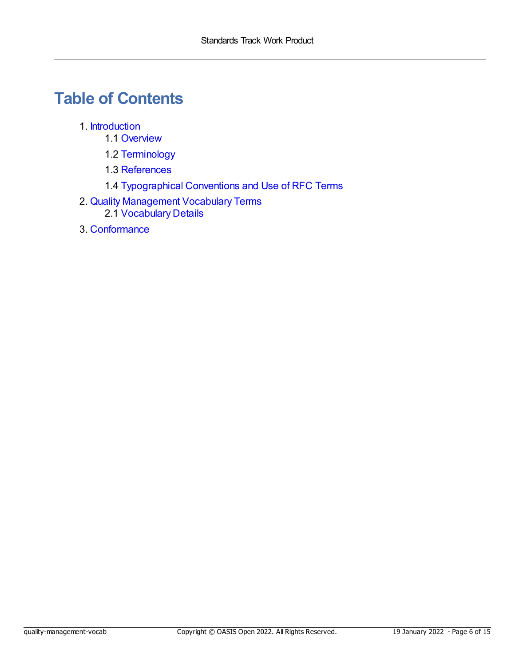## **Table of Contents**

- 1. [Introduction](#page-7-0)
	- 1.1 [Overview](#page-6-0)
	- 1.2 [Terminology](#page-7-1)
	- 1.3 [References](#page-7-2)
	- 1.4 [Typographical](#page-8-0) Conventions and Use of RFC Terms
- 2. Quality [Management](#page-11-0) Vocabulary Terms 2.1 [Vocabulary](#page-11-1) Details
- 3. [Conformance](#page-14-0)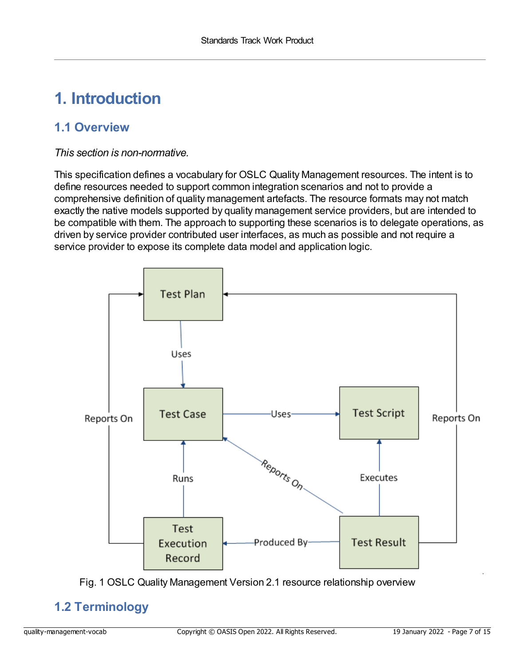## **1. Introduction**

## <span id="page-6-0"></span>**1.1 Overview**

*This section is non-normative.*

This specification defines a vocabulary for OSLC Quality Management resources. The intent is to define resources needed to support common integration scenarios and not to provide a comprehensive definition of quality management artefacts. The resource formats may not match exactly the native models supported by quality management service providers, but are intended to be compatible with them. The approach to supporting these scenarios is to delegate operations, as driven by service provider contributed user interfaces, as much as possible and not require a service provider to expose its complete data model and application logic.





## **1.2 Terminology**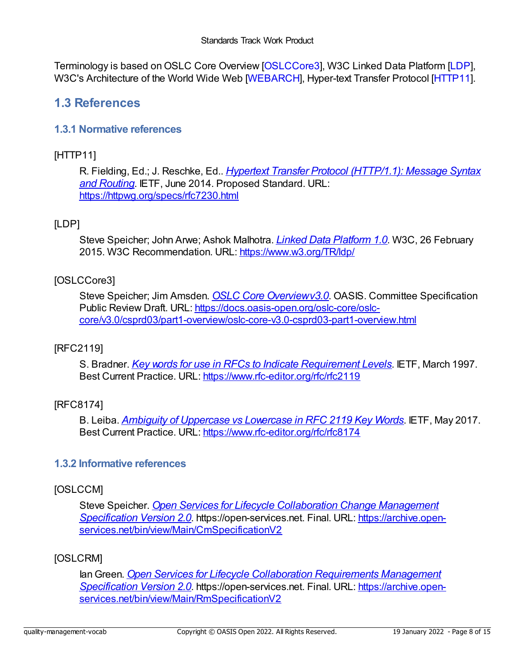<span id="page-7-1"></span><span id="page-7-0"></span>Terminology is based on OSLC Core Overview [\[OSLCCore3](#page-7-3)], W3C Linked Data Platform [[LDP\]](#page-7-4), W3C's Architecture of the World Wide Web [\[WEBARCH](#page-8-1)], Hyper-text Transfer Protocol [\[HTTP11\]](#page-7-5).

## <span id="page-7-2"></span>**1.3 References**

## **1.3.1 Normative references**

## <span id="page-7-5"></span>[HTTP11]

R. Fielding, Ed.; J. Reschke, Ed.. *Hypertext Transfer Protocol [\(HTTP/1.1\):](https://httpwg.org/specs/rfc7230.html) Message Syntax and Routing*. IETF, June 2014. Proposed Standard. URL: <https://httpwg.org/specs/rfc7230.html>

## <span id="page-7-4"></span>[LDP]

Steve Speicher; John Arwe; Ashok Malhotra. *Linked Data [Platform](https://www.w3.org/TR/ldp/) 1.0*. W3C, 26 February 2015. W3C Recommendation. URL: <https://www.w3.org/TR/ldp/>

## <span id="page-7-3"></span>[OSLCCore3]

Steve Speicher; Jim Amsden. *OSLC Core [Overviewv3.0](https://docs.oasis-open.org/oslc-core/oslc-core/v3.0/csprd03/part1-overview/oslc-core-v3.0-csprd03-part1-overview.html)*. OASIS. Committee Specification Public Review Draft. URL: https://docs.oasis-open.org/oslc-core/oslc[core/v3.0/csprd03/part1-overview/oslc-core-v3.0-csprd03-part1-overview.html](https://docs.oasis-open.org/oslc-core/oslc-core/v3.0/csprd03/part1-overview/oslc-core-v3.0-csprd03-part1-overview.html)

## <span id="page-7-6"></span>[RFC2119]

S. Bradner. *Key words for use in RFCs to Indicate [Requirement](https://www.rfc-editor.org/rfc/rfc2119) Levels*. IETF, March 1997. Best Current Practice. URL: <https://www.rfc-editor.org/rfc/rfc2119>

## <span id="page-7-7"></span>[RFC8174]

B. Leiba. *Ambiguity of [Uppercase](https://www.rfc-editor.org/rfc/rfc8174) vs Lowercase in RFC 2119 Key Words*. IETF, May 2017. Best Current Practice. URL: <https://www.rfc-editor.org/rfc/rfc8174>

## **1.3.2 Informative references**

## <span id="page-7-8"></span>[OSLCCM]

Steve Speicher. *Open Services for Lifecycle Collaboration Change Management Specification Version 2.0*. [https://open-services.net.](https://archive.open-services.net/bin/view/Main/CmSpecificationV2) Final. URL: https://archive.open[services.net/bin/view/Main/CmSpecificationV2](https://archive.open-services.net/bin/view/Main/CmSpecificationV2)

## <span id="page-7-9"></span>[OSLCRM]

IanGreen. *Open Services for Lifecycle Collaboration Requirements Management Specification Version 2.0*. [https://open-services.net.](https://archive.open-services.net/bin/view/Main/RmSpecificationV2) Final. URL: https://archive.open[services.net/bin/view/Main/RmSpecificationV2](https://archive.open-services.net/bin/view/Main/RmSpecificationV2)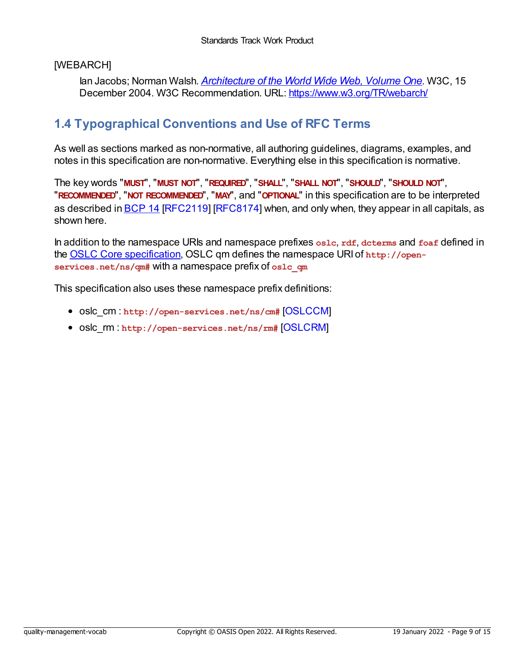## <span id="page-8-1"></span>[WEBARCH]

Ian Jacobs; Norman Walsh. *[Architecture](https://www.w3.org/TR/webarch/) of the World Wide Web, Volume One*. W3C, 15 December 2004. W3C Recommendation. URL: <https://www.w3.org/TR/webarch/>

## <span id="page-8-0"></span>**1.4 Typographical Conventions and Use of RFC Terms**

As well as sections marked as non-normative, all authoring guidelines, diagrams, examples, and notes in this specification are non-normative. Everything else in this specification is normative.

The key words "**MUST**", "**MUST NOT**", "**REQUIRED**", "**SHALL**", "**SHALL NOT**", "**SHOULD**", "**SHOULD NOT**", "**RECOMMENDED**", "**NOT RECOMMENDED**", "**MAY**", and "**OPTIONAL**" in this specification are to be interpreted as described in [BCP](https://tools.ietf.org/html/bcp14) 14 [\[RFC2119\]](#page-7-6) [\[RFC8174](#page-7-7)] when, and only when, they appear in all capitals, as shown here.

In addition to the namespace URIs and namespace prefixes **oslc**, **rdf**, **dcterms** and **foaf** defined in the OSLC Core [specification](http://docs.oasis-open.org/oslc-core/oslc-core/v3.0/oslc-core-v3.0-part1-overview.html), OSLC qm defines the namespace URI of **http://openservices.net/ns/qm#** with a namespace prefix of **oslc\_qm**

This specification also uses these namespace prefix definitions:

- oslc cm : http://open-services.net/ns/cm#  $[OSLCCM]$
- $\bullet$  oslc rm : http://open-services.net/ns/rm#  $[OSLCRM]$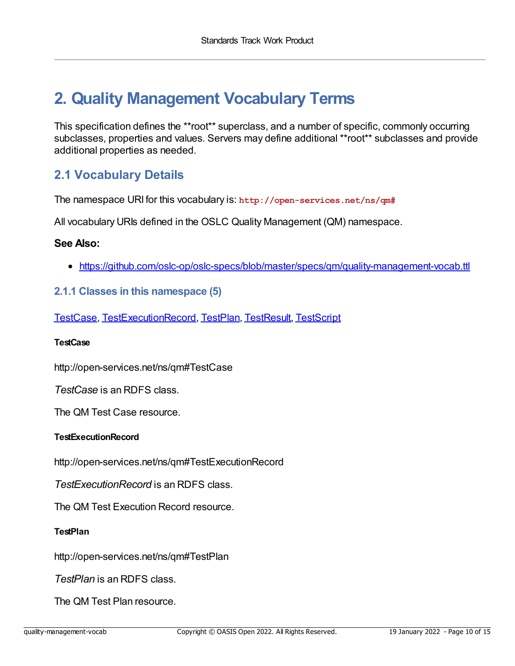## **2. Quality Management Vocabulary Terms**

This specification defines the \*\*root\*\* superclass, and a number of specific, commonly occurring subclasses, properties and values. Servers may define additional \*\*root\*\* subclasses and provide additional properties as needed.

## **2.1 Vocabulary Details**

The namespace URI for this vocabulary is: **http://open-services.net/ns/qm#**

All vocabulary URIs defined in the OSLC Quality Management (QM) namespace.

## **See Also:**

<https://github.com/oslc-op/oslc-specs/blob/master/specs/qm/quality-management-vocab.ttl>

## **2.1.1 Classes in this namespace (5)**

[TestCase,](#page-9-0) [TestExecutionRecord](#page-9-1), [TestPlan](#page-9-2), [TestResult,](#page-10-0) [TestScript](#page-10-1)

## <span id="page-9-0"></span>**TestCase**

http://open-services.net/ns/qm#TestCase

*TestCase* is an RDFS class.

The QM Test Case resource.

### <span id="page-9-1"></span>**TestExecutionRecord**

http://open-services.net/ns/qm#TestExecutionRecord

*TestExecutionRecord* is an RDFS class.

The QM Test Execution Record resource.

## <span id="page-9-2"></span>**TestPlan**

http://open-services.net/ns/qm#TestPlan

*TestPlan* is an RDFS class.

The QM Test Plan resource.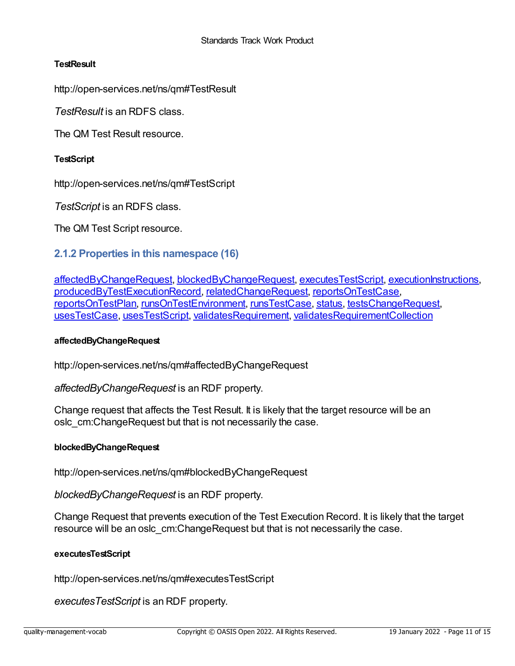## <span id="page-10-0"></span>**TestResult**

http://open-services.net/ns/qm#TestResult

*TestResult* is an RDFS class.

The QM Test Result resource.

## <span id="page-10-1"></span>**TestScript**

http://open-services.net/ns/qm#TestScript

*TestScript* is an RDFS class.

The QM Test Script resource.

## **2.1.2 Properties in this namespace (16)**

[affectedByChangeRequest,](#page-10-2) [blockedByChangeRequest](#page-10-3), [executesTestScript](#page-10-4), [executionInstructions](#page-11-2), [producedByTestExecutionRecord](#page-11-3), [relatedChangeRequest](#page-11-4), [reportsOnTestCase,](#page-11-5) [reportsOnTestPlan](#page-11-6), [runsOnTestEnvironment,](#page-12-0) [runsTestCase](#page-12-1), [status](#page-12-2), [testsChangeRequest,](#page-12-3) [usesTestCase](#page-12-4), [usesTestScript](#page-12-5), [validatesRequirement,](#page-13-0) [validatesRequirementCollection](#page-13-1)

### <span id="page-10-2"></span>**affectedByChangeRequest**

http://open-services.net/ns/qm#affectedByChangeRequest

*affectedByChangeRequest* is an RDF property.

Change request that affects the Test Result. It is likely that the target resource will be an oslc\_cm:ChangeRequest but that is not necessarily the case.

### <span id="page-10-3"></span>**blockedByChangeRequest**

http://open-services.net/ns/qm#blockedByChangeRequest

*blockedByChangeRequest* is an RDF property.

Change Request that prevents execution of the Test Execution Record. It is likely that the target resource will be an oslc cm:ChangeRequest but that is not necessarily the case.

### <span id="page-10-4"></span>**executesTestScript**

http://open-services.net/ns/qm#executesTestScript

*executesTestScript* is an RDF property.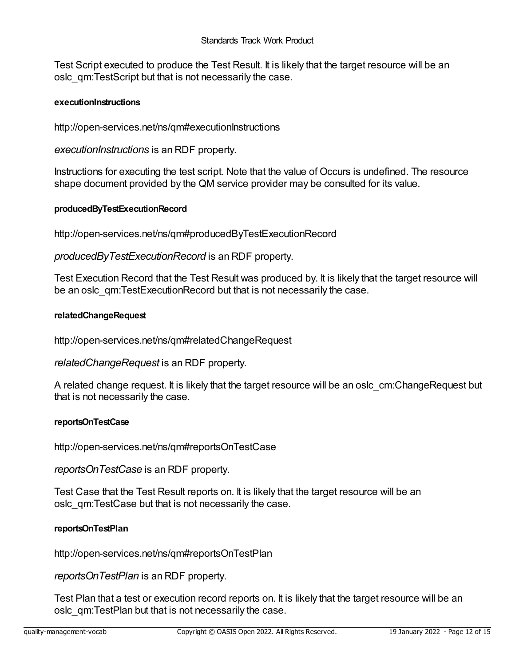<span id="page-11-1"></span><span id="page-11-0"></span>Test Script executed to produce the Test Result. It is likely that the target resource will be an oslc\_qm:TestScript but that is not necessarily the case.

## <span id="page-11-2"></span>**executionInstructions**

http://open-services.net/ns/qm#executionInstructions

*executionInstructions* is an RDF property.

Instructions for executing the test script. Note that the value of Occurs is undefined. The resource shape document provided by the QM service provider may be consulted for its value.

## <span id="page-11-3"></span>**producedByTestExecutionRecord**

http://open-services.net/ns/qm#producedByTestExecutionRecord

*producedByTestExecutionRecord* is an RDF property.

Test Execution Record that the Test Result was produced by. It is likely that the target resource will be an oslc qm:TestExecutionRecord but that is not necessarily the case.

## <span id="page-11-4"></span>**relatedChangeRequest**

http://open-services.net/ns/qm#relatedChangeRequest

*relatedChangeRequest* is an RDF property.

A related change request. It is likely that the target resource will be an oslc cm:ChangeRequest but that is not necessarily the case.

### <span id="page-11-5"></span>**reportsOnTestCase**

http://open-services.net/ns/qm#reportsOnTestCase

*reportsOnTestCase* is an RDF property.

Test Case that the Test Result reports on. It is likely that the target resource will be an oslc qm:TestCase but that is not necessarily the case.

### <span id="page-11-6"></span>**reportsOnTestPlan**

http://open-services.net/ns/qm#reportsOnTestPlan

*reportsOnTestPlan* is an RDF property.

Test Plan that a test or execution record reports on. It is likely that the target resource will be an oslc qm:TestPlan but that is not necessarily the case.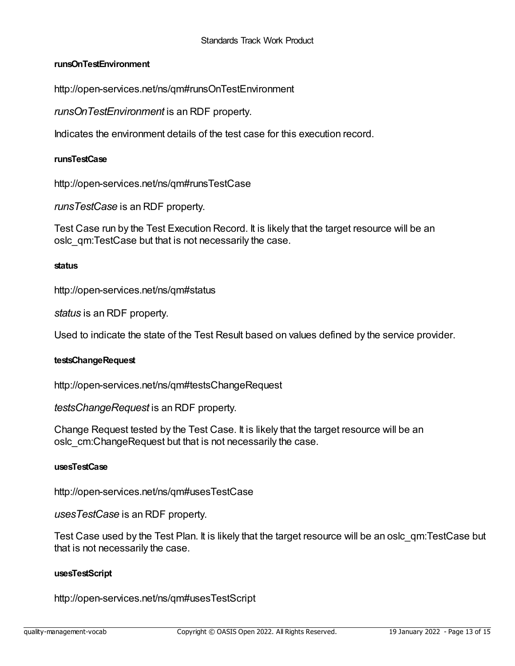## <span id="page-12-0"></span>**runsOnTestEnvironment**

http://open-services.net/ns/qm#runsOnTestEnvironment

*runsOnTestEnvironment* is an RDF property.

Indicates the environment details of the test case for this execution record.

## <span id="page-12-1"></span>**runsTestCase**

http://open-services.net/ns/qm#runsTestCase

*runsTestCase* is an RDF property.

Test Case run by the Test Execution Record. It is likely that the target resource will be an oslc qm:TestCase but that is not necessarily the case.

#### <span id="page-12-2"></span>**status**

http://open-services.net/ns/qm#status

*status* is an RDF property.

Used to indicate the state of the Test Result based on values defined by the service provider.

### <span id="page-12-3"></span>**testsChangeRequest**

http://open-services.net/ns/qm#testsChangeRequest

*testsChangeRequest* is an RDF property.

Change Request tested by the Test Case. It is likely that the target resource will be an oslc\_cm:ChangeRequest but that is not necessarily the case.

## <span id="page-12-4"></span>**usesTestCase**

http://open-services.net/ns/qm#usesTestCase

*usesTestCase* is an RDF property.

Test Case used by the Test Plan. It is likely that the target resource will be an oslc qm:TestCase but that is not necessarily the case.

### <span id="page-12-5"></span>**usesTestScript**

http://open-services.net/ns/qm#usesTestScript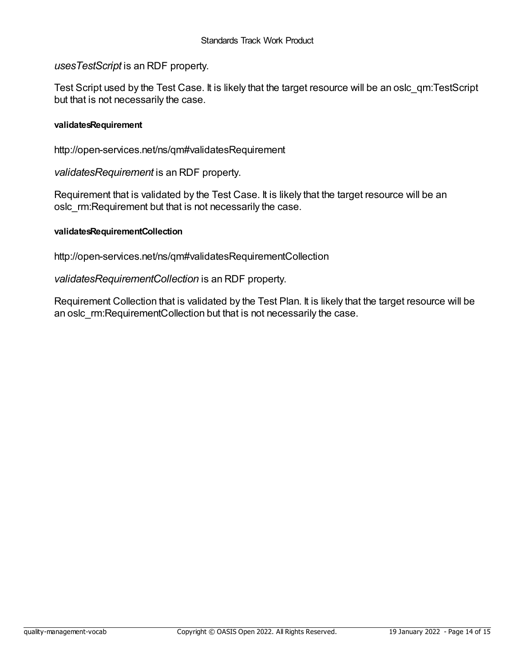*usesTestScript* is an RDF property.

Test Script used by the Test Case. It is likely that the target resource will be an oslc\_qm:TestScript but that is not necessarily the case.

## <span id="page-13-0"></span>**validatesRequirement**

http://open-services.net/ns/qm#validatesRequirement

*validatesRequirement* is an RDF property.

Requirement that is validated by the Test Case. It is likely that the target resource will be an oslc rm:Requirement but that is not necessarily the case.

### <span id="page-13-1"></span>**validatesRequirementCollection**

http://open-services.net/ns/qm#validatesRequirementCollection

*validatesRequirementCollection* is an RDF property.

Requirement Collection that is validated by the Test Plan. It is likely that the target resource will be an oslc rm:RequirementCollection but that is not necessarily the case.